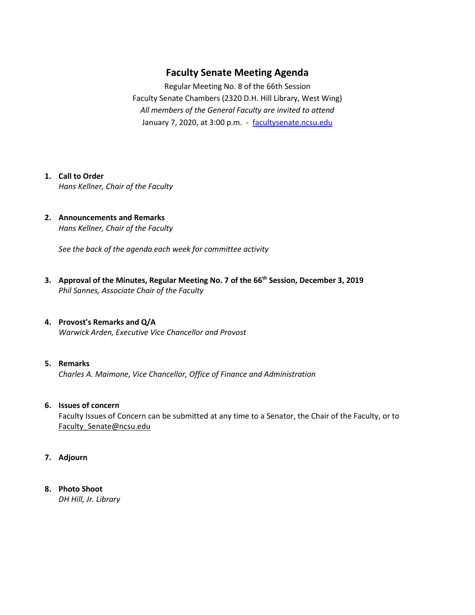## **Faculty Senate Meeting Agenda**

Regular Meeting No. 8 of the 66th Session Faculty Senate Chambers (2320 D.H. Hill Library, West Wing) *All members of the General Faculty are invited to attend* January 7, 2020, at 3:00 p.m. - [facultysenate.ncsu.edu](https://facultysenate.ncsu.edu/)

### **1. Call to Order**

*Hans Kellner, Chair of the Faculty*

**2. Announcements and Remarks** *Hans Kellner, Chair of the Faculty*

*See the back of the agenda each week for committee activity* 

- **3. Approval of the Minutes, Regular Meeting No. 7 of the 66th Session, December 3, 2019** *Phil Sannes, Associate Chair of the Faculty*
- **4. Provost's Remarks and Q/A** *Warwick Arden, Executive Vice Chancellor and Provost*

#### **5. Remarks**

*Charles A. Maimone, Vice Chancellor, Office of Finance and Administration*

#### **6. Issues of concern**

Faculty Issues of Concern can be submitted at any time to a Senator, the Chair of the Faculty, or to [Faculty\\_Senate@ncsu.edu](mailto:Faculty_Senate@ncsu.edu)

- **7. Adjourn**
- **8. Photo Shoot**

*DH Hill, Jr. Library*